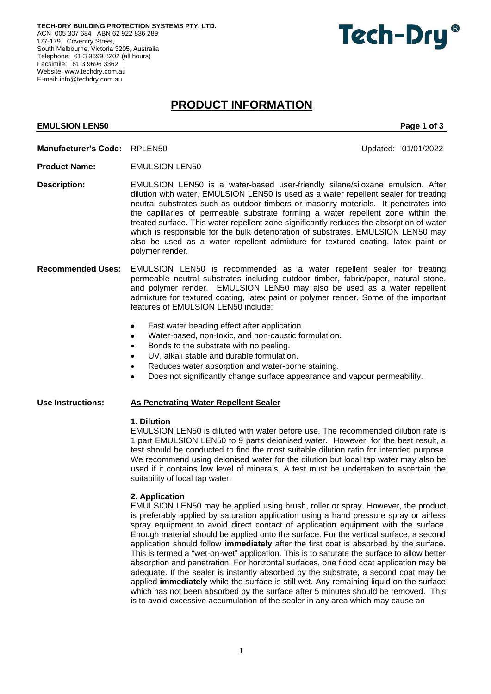**TECH-DRY BUILDING PROTECTION SYSTEMS PTY. LTD.** ACN 005 307 684 ABN 62 922 836 289 177-179 Coventry Street, South Melbourne, Victoria 3205, Australia Telephone: 61 3 9699 8202 (all hours) Facsimile: 61 3 9696 3362 Website[: www.techdry.com.au](http://www.techdry.com.au/) E-mail[: info@techdry.com.au](mailto:info@techdry.com.au)

# Tech-Dry<sup>®</sup>

## **PRODUCT INFORMATION**

#### **EMULSION LEN50** Page 1 of 3

- **Manufacturer's Code:** RPLEN50Updated: 01/01/2022
- **Product Name:** EMULSION LEN50
- **Description:** EMULSION LEN50 is a water-based user-friendly silane/siloxane emulsion. After dilution with water, EMULSION LEN50 is used as a water repellent sealer for treating neutral substrates such as outdoor timbers or masonry materials. It penetrates into the capillaries of permeable substrate forming a water repellent zone within the treated surface. This water repellent zone significantly reduces the absorption of water which is responsible for the bulk deterioration of substrates. EMULSION LEN50 may also be used as a water repellent admixture for textured coating, latex paint or polymer render.
- **Recommended Uses:** EMULSION LEN50 is recommended as a water repellent sealer for treating permeable neutral substrates including outdoor timber, fabric/paper, natural stone, and polymer render. EMULSION LEN50 may also be used as a water repellent admixture for textured coating, latex paint or polymer render. Some of the important features of EMULSION LEN50 include:
	- Fast water beading effect after application
	- Water-based, non-toxic, and non-caustic formulation.
	- Bonds to the substrate with no peeling.
	- UV, alkali stable and durable formulation.
	- Reduces water absorption and water-borne staining.
	- Does not significantly change surface appearance and vapour permeability.

#### **Use Instructions: As Penetrating Water Repellent Sealer**

#### **1. Dilution**

EMULSION LEN50 is diluted with water before use. The recommended dilution rate is 1 part EMULSION LEN50 to 9 parts deionised water. However, for the best result, a test should be conducted to find the most suitable dilution ratio for intended purpose. We recommend using deionised water for the dilution but local tap water may also be used if it contains low level of minerals. A test must be undertaken to ascertain the suitability of local tap water.

#### **2. Application**

EMULSION LEN50 may be applied using brush, roller or spray. However, the product is preferably applied by saturation application using a hand pressure spray or airless spray equipment to avoid direct contact of application equipment with the surface. Enough material should be applied onto the surface. For the vertical surface, a second application should follow **immediately** after the first coat is absorbed by the surface. This is termed a "wet-on-wet" application. This is to saturate the surface to allow better absorption and penetration. For horizontal surfaces, one flood coat application may be adequate. If the sealer is instantly absorbed by the substrate, a second coat may be applied **immediately** while the surface is still wet. Any remaining liquid on the surface which has not been absorbed by the surface after 5 minutes should be removed. This is to avoid excessive accumulation of the sealer in any area which may cause an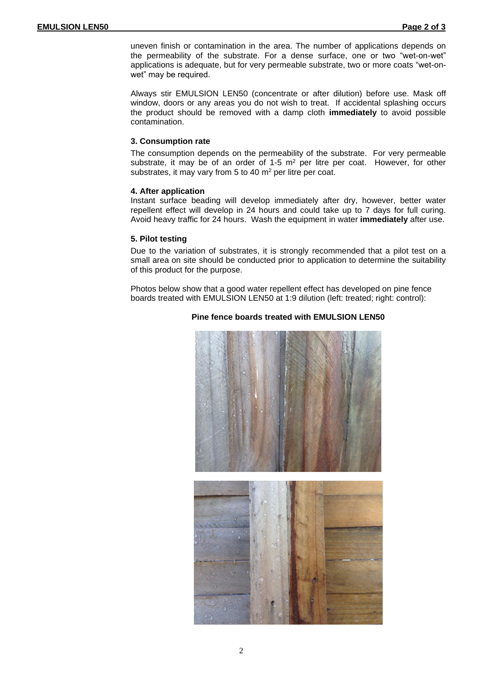uneven finish or contamination in the area. The number of applications depends on the permeability of the substrate. For a dense surface, one or two "wet-on-wet" applications is adequate, but for very permeable substrate, two or more coats "wet-onwet" may be required.

Always stir EMULSION LEN50 (concentrate or after dilution) before use. Mask off window, doors or any areas you do not wish to treat. If accidental splashing occurs the product should be removed with a damp cloth **immediately** to avoid possible contamination.

#### **3. Consumption rate**

The consumption depends on the permeability of the substrate. For very permeable substrate, it may be of an order of 1-5  $m<sup>2</sup>$  per litre per coat. However, for other substrates, it may vary from 5 to 40 m<sup>2</sup> per litre per coat.

#### **4. After application**

Instant surface beading will develop immediately after dry, however, better water repellent effect will develop in 24 hours and could take up to 7 days for full curing. Avoid heavy traffic for 24 hours. Wash the equipment in water **immediately** after use.

#### **5. Pilot testing**

Due to the variation of substrates, it is strongly recommended that a pilot test on a small area on site should be conducted prior to application to determine the suitability of this product for the purpose.

Photos below show that a good water repellent effect has developed on pine fence boards treated with EMULSION LEN50 at 1:9 dilution (left: treated; right: control):

### **Pine fence boards treated with EMULSION LEN50**